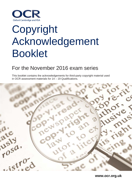

# Copyright Acknowledgement Booklet

## For the November 2016 exam series

This booklet contains the acknowledgements for third-party copyright material used in OCR assessment materials for 14 – 19 Qualifications.



**www.ocr.org.uk**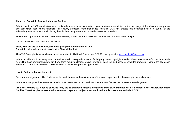## **About the Copyright Acknowledgement Booklet**

Prior to the June 2009 examination series, acknowledgements for third-party copyright material were printed on the back page of the relevant exam papers and associated assessment materials. For security purposes, from that series onwards, OCR has created this separate booklet to put all of the acknowledgements, rather than including them in the exam papers or associated assessment materials.

The booklet is published after each examination series, as soon as the assessment materials become available to the public.

It is available online from the OCR website at:

## **http://www.ocr.org.uk/i-want-to/download-past-papers/conditions-of-use/ Copyright acknowledgement booklets > - Show all booklets**

The OCR Copyright Team can be contacted by post at 1 Hills Road, Cambridge, CB1 2EU, or by email at [ocr.copyright@ocr.org.uk.](mailto:ocr.copyright@ocr.org.uk)

Where possible, OCR has sought and cleared permission to reproduce items of third-party owned copyright material. Every reasonable effort has been made by OCR to trace copyright holders, but if any items requiring clearance have unwittingly been included, please contact the Copyright Team at the addresses above and OCR will be pleased to make amends at the earliest possible opportunity.

### **How to find an acknowledgement**

Each acknowledgement is filed firstly by subject and then under the unit number of the exam paper in which the copyright material appears.

Where an exam paper has more than one document associated with it, each document is identified with its separate acknowledgements.

**From the January 2013 series onwards, only the examination material containing third party material will be included in the Acknowledgement Booklet. Therefore please assume that any exam papers or subject areas not listed in this booklet are entirely © OCR.**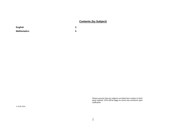## **Contents (by Subject)**

| <b>English</b> |  |
|----------------|--|
| Mathematics    |  |

*Please assume that any subjects not listed here contain no third party material. OCR will be happy to correct any omissions upon notification.*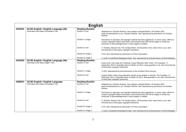| <b>English</b> |                                                                                        |                                           |                                                                                                                                                                                                                                                        |
|----------------|----------------------------------------------------------------------------------------|-------------------------------------------|--------------------------------------------------------------------------------------------------------------------------------------------------------------------------------------------------------------------------------------------------------|
| A633/01        | <b>GCSE English / English Language (NI)</b><br>Information and Ideas (Foundation Tier) | <b>Reading Booklet</b><br>Section A, text | Adapted from Christian Wolmar, How railways changed Britain, 29 October 2007,<br>www.christianwolmar.co.uk, Christian Wolmar. Item reproduced by permission of Christian<br>Wolmar.                                                                    |
|                |                                                                                        | Section A, image                          | Permission to reproduce all copyright material has been applied for. In some cases, efforts to<br>contact copyright-holders have been unsuccessful and OCR will be happy to rectify any<br>omissions of acknowledgements in future papers if notified. |
|                |                                                                                        | Section B, text                           | K. Rockett, Network Fail, The Sunday Mirror, 28 December 2013, www.mirror.co.uk. Item<br>removed due to third party copyright restrictions.                                                                                                            |
|                |                                                                                        | Section B, image 1                        | © PA. Item reproduced by permission of Press Association.                                                                                                                                                                                              |
|                |                                                                                        | Section B, image 2                        | © Justin Crosby/BoomDialogue/Livepix. Item reproduced by kind permission of BoomDialogue.                                                                                                                                                              |
| A633/02        | <b>GCSE English / English Language (NI)</b><br>Information and Ideas (Higher Tier)     | <b>Reading Booklet</b><br>Section A, text | Kirsty Scott, How Dogs are Teaching Young Offenders New Tricks, The Guardian, 17<br>September 2013 © Guardian News & Media Ltd 2013, www.guardian.co.uk. Item removed due<br>to third party copyright restrictions.                                    |
|                |                                                                                        | Section A, image                          | © SPS. Reproduced by kind permission of the Scottish Prison Service.                                                                                                                                                                                   |
|                |                                                                                        | Section B, text                           | Caspar Walsh, Why young offenders should not be judged so harshly, The Guardian, 21<br>December 2011 © Guardian News & Media Ltd 2011, www.guardian.co.uk. Item removed due<br>to third party copyright restrictions.                                  |
| A680/01        | <b>GCSE English / English Language</b><br>Information and Ideas (Foundation Tier)      | <b>Reading Booklet</b><br>Section A, text | Adapted from Christian Wolmar, How railways changed Britain, 29 October 2007,<br>www.christianwolmar.co.uk, Christian Wolmar. Item reproduced by permission of Christian<br>Wolmar.                                                                    |
|                |                                                                                        | Section A, image                          | Permission to reproduce all copyright material has been applied for. In some cases, efforts to<br>contact copyright-holders have been unsuccessful and OCR will be happy to rectify any<br>omissions of acknowledgements in future papers if notified. |
|                |                                                                                        | Section B, text                           | K. Rockett, Network Fail, The Sunday Mirror, 28 December 2013, www.mirror.co.uk. Item<br>removed due to third party copyright restrictions.                                                                                                            |
|                |                                                                                        | Section B, image 1                        | © PA. Item reproduced by permission of Press Association.                                                                                                                                                                                              |
|                |                                                                                        | Section B, image 2                        | © Justin Crosby/BoomDialogue/Livepix. Item reproduced by kind permission of BoomDialogue.                                                                                                                                                              |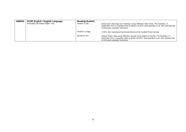| A680/02 | <b>GCSE English / English Language</b> | <b>Reading Booklet</b> |                                                                                                                                                                                                                       |
|---------|----------------------------------------|------------------------|-----------------------------------------------------------------------------------------------------------------------------------------------------------------------------------------------------------------------|
|         | Information and Ideas (Higher Tier)    | Section A, text        | Kirsty Scott, How Dogs are Teaching Young Offenders New Tricks, The Guardian, 17<br>September 2013 © Guardian News & Media Ltd 2013, www.guardian.co.uk. Item removed due<br>to third party copyright restrictions.   |
|         |                                        | Section A, image       | © SPS. Item reproduced by kind permission of the Scottish Prison Service.                                                                                                                                             |
|         |                                        | Section B. text        | Caspar Walsh, Why young offenders should not be judged so harshly, The Guardian, 21<br>December 2011 © Guardian News & Media Ltd 2011, www.quardian.co.uk. Item removed due<br>to third party copyright restrictions. |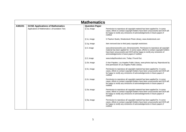|         | <b>Mathematics</b>                              |                       |                                                                                                                                                                                                                                                                                                   |
|---------|-------------------------------------------------|-----------------------|---------------------------------------------------------------------------------------------------------------------------------------------------------------------------------------------------------------------------------------------------------------------------------------------------|
| A381/01 | <b>GCSE Applications of Mathematics</b>         | <b>Question Paper</b> |                                                                                                                                                                                                                                                                                                   |
|         | Applications of Mathematics 1 (Foundation Tier) | Q 1a, image           | Permission to reproduce all copyright material has been applied for. In some<br>cases, efforts to contact copyright-holders have been unsuccessful and OCR will<br>be happy to rectify any omissions of acknowledgements in future papers if<br>notified.                                         |
|         |                                                 | Q 1c, image           | © Flashon Studio, Shutterstock Photo Library, www.shutterstock.com                                                                                                                                                                                                                                |
|         |                                                 | Q 1g, image           | Item removed due to third party copyright restrictions                                                                                                                                                                                                                                            |
|         |                                                 | Q 2, image            | www.dimensionsinfo.com, DimensionsInfo. Permission to reproduce all copyright<br>material has been applied for. In some cases, efforts to contact copyright-holders<br>have been unsuccessful and OCR will be happy to rectify any omissions of<br>acknowledgements in future papers if notified. |
|         |                                                 | Q 2, image            | www.todayifoundout.com, Today I Found Out.                                                                                                                                                                                                                                                        |
|         |                                                 | Q 2b, image           | © Ken Papaleo, Los Angeles Public Library, www.photos.lapl.org. Reproduced by<br>kind permission of Los Angeles Public Library.                                                                                                                                                                   |
|         |                                                 | Q 2c, image           | Permission to reproduce all copyright material has been applied for. In some<br>cases, efforts to contact copyright-holders have been unsuccessful and OCR will<br>be happy to rectify any omissions of acknowledgements in future papers if<br>notified.                                         |
|         |                                                 | Q 2c, image           | Permission to reproduce all copyright material has been applied for. In some<br>cases, efforts to contact copyright-holders have been unsuccessful and OCR will<br>be happy to rectify any omissions of acknowledgements in future papers if<br>notified.                                         |
|         |                                                 | Q 3a, image           | Permission to reproduce all copyright material has been applied for. In some<br>cases, efforts to contact copyright-holders have been unsuccessful and OCR will<br>be happy to rectify any omissions of acknowledgements in future papers if<br>notified.                                         |
|         |                                                 | Q 3a, image           | Permission to reproduce all copyright material has been applied for. In some<br>cases, efforts to contact copyright-holders have been unsuccessful and OCR will<br>be happy to rectify any omissions of acknowledgements in future papers if<br>notified.                                         |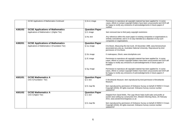|         | <b>GCSE Applications of Mathematics Continued</b> | Q 4c-d, image         | Permission to reproduce all copyright material has been applied for. In some<br>cases, efforts to contact copyright-holders have been unsuccessful and OCR will<br>be happy to rectify any omissions of acknowledgements in future papers if<br>notified. |
|---------|---------------------------------------------------|-----------------------|-----------------------------------------------------------------------------------------------------------------------------------------------------------------------------------------------------------------------------------------------------------|
| A381/02 | <b>GCSE Applications of Mathematics</b>           | <b>Question Paper</b> |                                                                                                                                                                                                                                                           |
|         | Applications of Mathematics 1 (Higher Tier)       | Q 2, image            | Item removed due to third party copyright restrictions                                                                                                                                                                                                    |
|         |                                                   | Q 4a, text            | Any reference within this exam paper to existing companies or organisations is<br>entirely coincidental, and is in no way intended as a depiction of any such<br>companies or organisations.                                                              |
| A382/01 | <b>GCSE Applications of Mathematics</b>           | <b>Question Paper</b> |                                                                                                                                                                                                                                                           |
|         | Applications of Mathematics 2 (Foundation Tier)   | Q 1a, image           | Cris Brack, Measuring the tree trunk, 20 December 1996, www.fennerschool-<br>associated.anu.edu.au, Australian National University. Reproduced by kind<br>permission of Cris Brack.                                                                       |
|         |                                                   | Q 1b, image           | © malerapaso, iStock, www.istockphoto.com                                                                                                                                                                                                                 |
|         |                                                   | Q 2f, image           | Permission to reproduce all copyright material has been applied for. In some<br>cases, efforts to contact copyright-holders have been unsuccessful and OCR will<br>be happy to rectify any omissions of acknowledgements in future papers if<br>notified. |
|         |                                                   | Q 2g, image           | Permission to reproduce all copyright material has been applied for. In some<br>cases, efforts to contact copyright-holders have been unsuccessful and OCR will<br>be happy to rectify any omissions of acknowledgements in future papers if<br>notified. |
| A501/01 | <b>GCSE Mathematics A</b>                         | <b>Question Paper</b> |                                                                                                                                                                                                                                                           |
|         | Unit A (Foundation Tier)                          | Q 2, text             | © Brooklands Museum. Item reproduced by kind permission of Brooklands<br>Museum.                                                                                                                                                                          |
|         |                                                   | Q 9, map file         | Item reproduced by permission of Ordnance Survey on behalf of HMSO © Crown<br>Copyright [2016]. All rights reserved. Ordnance Survey Licence number<br>100043707                                                                                          |
| A501/02 | <b>GCSE Mathematics A</b>                         | <b>Question Paper</b> |                                                                                                                                                                                                                                                           |
|         | Unit A (Higher Tier)                              | Q 2, text             | Adapted from David Wells, The Lego Movie helps build sales and profits at<br>world's best-selling toy construction firm, Western Morning News, 25 February<br>2015, www.westernmorningnews.co.uk                                                          |
|         |                                                   | Q 6, map file         | Item reproduced by permission of Ordnance Survey on behalf of HMSO © Crown<br>Copyright [2016]. All rights reserved. Ordnance Survey Licence number<br>100043707                                                                                          |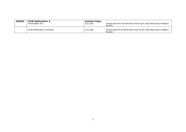| A502/02 | <b>GCSE Mathematics A</b>           | <b>Question Paper</b> | Sunspot data from the World Data Center SILSO, Royal Observatory of Belgium,                    |
|---------|-------------------------------------|-----------------------|-------------------------------------------------------------------------------------------------|
|         | Unit B (Higher Tier)                | Q 1a. data            | <b>Brussels</b>                                                                                 |
|         | <b>GCSE Mathematics A Continued</b> | Q 1b. data            | Sunspot data from the World Data Center SILSO, Royal Observatory of Belgium,<br><b>Brussels</b> |